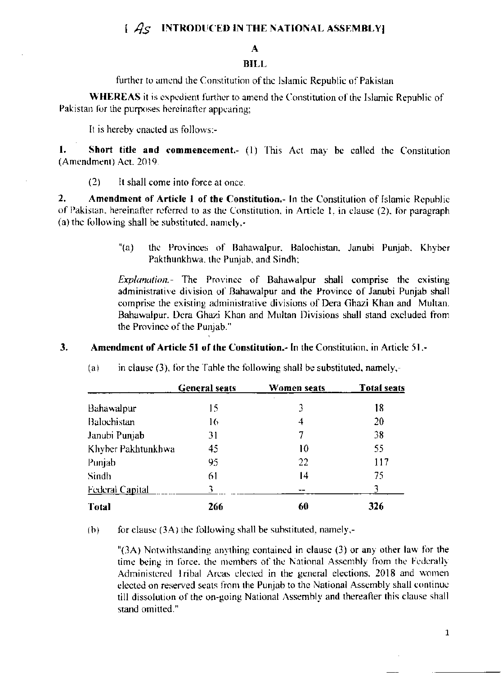# $\int Ag$  INTRODUCED IN THE NATIONAL ASSEMBLY

## A

### **BILL**

further to amend the Constitution of the Islamic Republic of Pakistan

**WHEREAS** it is expedient further to amend the Constitution of the Islamic Republic of Pakistan for the purposes hereinafter appearing;

It is hereby enacted as follows:-

 $\mathbf{1}$ Short title and commencement. (1) This Act may be called the Constitution (Amendment) Act. 2019.

 $(2)$ It shall come into force at once.

 $2.$ Amendment of Article 1 of the Constitution.- In the Constitution of Islamic Republic of Pakistan, hereinafter referred to as the Constitution, in Article 1, in clause (2), for paragraph (a) the following shall be substituted, namely.-

> $"(a)$ the Provinces of Bahawalpur, Balochistan, Janubi Punjab, Khyber Pakthunkhwa, the Punjab, and Sindh;

> *Explanation.* The Province of Bahawalpur shall comprise the existing administrative division of Bahawalpur and the Province of Janubi Punjab shall comprise the existing administrative divisions of Dera Ghazi Khan and Multan. Bahawalpur. Dera Ghazi Khan and Multan Divisions shall stand excluded from the Province of the Punjab."

#### $\mathbf{3}$ . Amendment of Article 51 of the Constitution.- In the Constitution, in Article 51.-

|                        | <b>General seats</b> | Women seats | <b>Total seats</b> |
|------------------------|----------------------|-------------|--------------------|
| Bahawalpur             | 15                   | 3           | 18                 |
| Balochistan            | 16                   | 4           | 20                 |
| Janubi Punjab          | 31                   | 7           | 38                 |
| Khyber Pakhtunkhwa     | 45                   | 10          | 55                 |
| Punjab                 | 95                   | 22          | 117                |
| Sindh                  | 61                   | 14          | 75                 |
| <b>Federal Capital</b> | 3                    |             | 3                  |
| Total                  | 266                  | 60          | 326                |

in clause (3), for the Table the following shall be substituted, namely,- $(a)$ 

 $(b)$ for clause  $(3A)$  the following shall be substituted, namely,-

> " $(3A)$  Notwithstanding anything contained in clause  $(3)$  or any other law for the time being in force, the members of the National Assembly from the Federally Administered Iribal Areas elected in the general elections, 2018 and women elected on reserved seats from the Punjab to the National Assembly shall continue till dissolution of the on-going National Assembly and thereafter this clause shall stand omitted."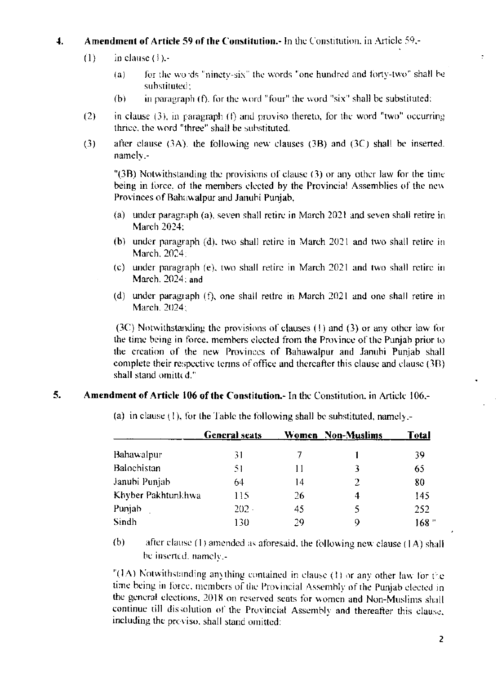### Amendment of Article 59 of the Constitution. In the Constitution, in Article 59,- $\ddot{ }$

- $(1)$ in clause  $(1)$ .
	- for the words "ninety-six" the words "one hundred and forty-two" shall be  $(a)$ substituted:
	- in paragraph (f), for the word "four" the word "six" shall be substituted;  $(b)$
- in clause  $(3)$ , in paragraph  $(f)$  and proviso thereto, for the word "two" occurring  $(2)$ thrice, the word "three" shall be substituted.
- $(3)$ after clause  $(3A)$ , the following new clauses  $(3B)$  and  $(3C)$  shall be inserted. namely.-

"(3B) Notwithstanding the provisions of clause (3) or any other law for the time being in force, of the members elected by the Provincial Assemblies of the new Provinces of Bahawalpur and Janubi Punjab,

- (a) under paragraph (a), seven shall retire in March 2021 and seven shall retire in March 2024:
- (b) under paragraph (d), two shall retire in March 2021 and two shall retire in March, 2024:
- (c) under paragraph (e), two shall retire in March 2021 and two shall retire in March. 2024: and
- (d) under paragraph  $(f)$ , one shall retire in March 2021 and one shall retire in March. 2024:

(3C) Notwithstanding the provisions of clauses (1) and (3) or any other law for the time being in force, members elected from the Province of the Punjab prior to the creation of the new Provinces of Bahawalpur and Janubi Punjab shall complete their respective terms of office and thereafter this clause and clause (3B) shall stand omitted."

### 5. Amendment of Article 106 of the Constitution.- In the Constitution, in Article 106.-

|                    | <b>General seats</b> |    | Women Non-Muslims | Total |
|--------------------|----------------------|----|-------------------|-------|
| Bahawalpur         | 31                   |    |                   | 39    |
| Balochistan        | 51                   | Ħ  | 3                 | 65    |
| Janubi Punjab      | 64                   | 14 | 2                 | 80    |
| Khyber Pakhtunkhwa | 115                  | 26 | 4                 | 145   |
| Punjab             | $202 -$              | 45 | 5                 | 252   |
| Sindh              | 130                  | 29 | 9                 | 168 " |

(a) in clause (1), for the Table the following shall be substituted, namely.

 $(b)$ after clause (1) amended as aforesaid, the following new clause (1A) shall be inserted, namely.-

"(1A) Notwithstanding anything contained in clause (1) or any other law for the time being in force, members of the Provincial Assembly of the Punjab elected in the general elections, 2018 on reserved seats for women and Non-Muslims shall continue till dissolution of the Provincial Assembly and thereafter this clause, including the previso, shall stand omitted: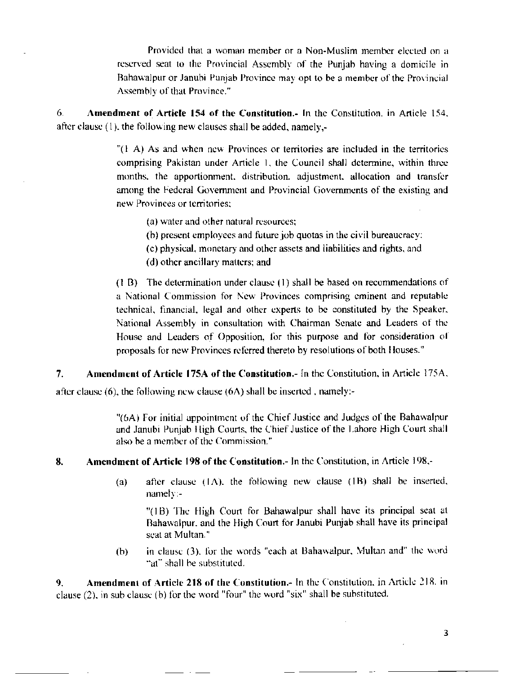Provided that a woman member or a Non-Muslim member elected on a reserved seat to the Provincial Assembly of the Puniab having a domicile in Bahawalpur or Janubi Punjab Province may opt to be a member of the Provincial Assembly of that Province."

6. Amendment of Article 154 of the Constitution.- In the Constitution, in Article 154, after clause (1), the following new clauses shall be added, namely,-

> " $(1 \text{ A})$  As and when new Provinces or territories are included in the territories comprising Pakistan under Article 1, the Council shall determine, within three months, the apportionment, distribution, adjustment, allocation and transfer among the Federal Government and Provincial Governments of the existing and new Provinces or territories:

- (a) water and other natural resources;
- (b) present employees and future job quotas in the civil bureaucracy;
- (c) physical, monetary and other assets and liabilities and rights, and
- (d) other ancillary matters; and

(1 B) The determination under clause (1) shall be based on recommendations of a National Commission for New Provinces comprising eminent and reputable technical, financial, legal and other experts to be constituted by the Speaker, National Assembly in consultation with Chairman Senate and Leaders of the House and Leaders of Opposition, for this purpose and for consideration of proposals for new Provinces referred thereto by resolutions of both Houses."

 $7<sub>1</sub>$ Amendment of Article 175A of the Constitution.- In the Constitution, in Article 175A,

after clause  $(6)$ , the following new clause  $(6A)$  shall be inserted, namely:-

"(6A) For initial appointment of the Chief Justice and Judges of the Bahawalpur and Janubi Punjab High Courts, the Chief Justice of the Lahore High Court shall also be a member of the Commission."

#### Amendment of Article 198 of the Constitution.- In the Constitution, in Article 198.-8.

after clause (IA), the following new clause (IB) shall be inserted,  $(a)$ namely:-

"(1B) The High Court for Bahawalpur shall have its principal seat at Bahawalpur, and the High Court for Janubi Punjab shall have its principal seat at Multan."

in clause (3), for the words "each at Bahawalpur, Multan and" the word  $(b)$ "at" shall be substituted.

Amendment of Article 218 of the Constitution.- In the Constitution, in Article 218, in  $\mathbf{Q}$ clause (2), in sub clause (b) for the word "four" the word "six" shall be substituted.